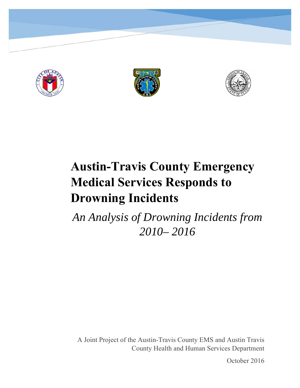





# **Austin-Travis County Emergency Medical Services Responds to Drowning Incidents**

*An Analysis of Drowning Incidents from 2010– 2016* 

A Joint Project of the Austin-Travis County EMS and Austin Travis County Health and Human Services Department

October 2016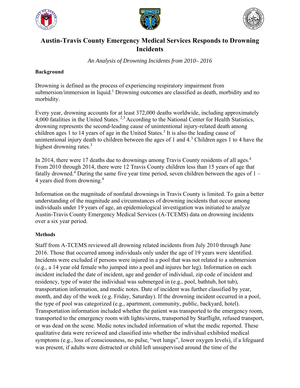





## **Austin-Travis County Emergency Medical Services Responds to Drowning Incidents**

*An Analysis of Drowning Incidents from 2010– 2016* 

## **Background**

Drowning is defined as the process of experiencing respiratory impairment from submersion/immersion in liquid.<sup>1</sup> Drowning outcomes are classified as death, morbidity and no morbidity.

Every year, drowning accounts for at least 372,000 deaths worldwide, including approximately 4,000 fatalities in the United States. 2,3 According to the National Center for Health Statistics, drowning represents the second-leading cause of unintentional injury-related death among children ages 1 to 14 years of age in the United States.<sup>3</sup> It is also the leading cause of unintentional injury death to children between the ages of 1 and  $4<sup>3</sup>$  Children ages 1 to 4 have the highest drowning rates.<sup>3</sup>

In 2014, there were 17 deaths due to drownings among Travis County residents of all ages.<sup>4</sup> From 2010 through 2014, there were 12 Travis County children less than 15 years of age that fatally drowned.<sup>4</sup> During the same five year time period, seven children between the ages of  $1 -$ 4 years died from drowning.<sup>4</sup>

Information on the magnitude of nonfatal drownings in Travis County is limited. To gain a better understanding of the magnitude and circumstances of drowning incidents that occur among individuals under 19 years of age, an epidemiological investigation was initiated to analyze Austin-Travis County Emergency Medical Services (A-TCEMS) data on drowning incidents over a six year period.

## **Methods**

Staff from A-TCEMS reviewed all drowning related incidents from July 2010 through June 2016. Those that occurred among individuals only under the age of 19 years were identified. Incidents were excluded if persons were injured in a pool that was not related to a submersion (e.g., a 14 year old female who jumped into a pool and injures her leg). Information on each incident included the date of incident, age and gender of individual, zip code of incident and residency, type of water the individual was submerged in (e.g., pool, bathtub, hot tub), transportation information, and medic notes. Date of incident was further classified by year, month, and day of the week (e.g. Friday, Saturday). If the drowning incident occurred in a pool, the type of pool was categorized (e.g., apartment, community, public, backyard, hotel). Transportation information included whether the patient was transported to the emergency room, transported to the emergency room with lights/sirens, transported by Starflight, refused transport, or was dead on the scene. Medic notes included information of what the medic reported. These qualitative data were reviewed and classified into whether the individual exhibited medical symptoms (e.g., loss of consciousness, no pulse, "wet lungs", lower oxygen levels), if a lifeguard was present, if adults were distracted or child left unsupervised around the time of the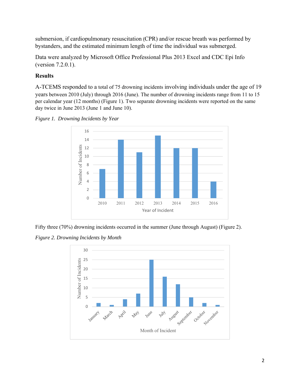submersion, if cardiopulmonary resuscitation (CPR) and/or rescue breath was performed by bystanders, and the estimated minimum length of time the individual was submerged.

Data were analyzed by Microsoft Office Professional Plus 2013 Excel and CDC Epi Info (version 7.2.0.1).

## **Results**

A-TCEMS responded to a total of 75 drowning incidents involving individuals under the age of 19 years between 2010 (July) through 2016 (June). The number of drowning incidents range from 11 to 15 per calendar year (12 months) (Figure 1). Two separate drowning incidents were reported on the same day twice in June 2013 (June 1 and June 10).





Fifty three (70%) drowning incidents occurred in the summer (June through August) (Figure 2).

*Figure 2. Drowning Incidents by Month* 

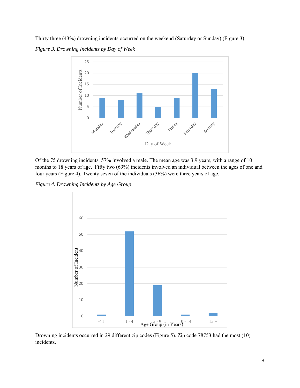Thirty three (43%) drowning incidents occurred on the weekend (Saturday or Sunday) (Figure 3). *Figure 3. Drowning Incidents by Day of Week* 



Of the 75 drowning incidents, 57% involved a male. The mean age was 3.9 years, with a range of 10 months to 18 years of age. Fifty two (69%) incidents involved an individual between the ages of one and four years (Figure 4). Twenty seven of the individuals (36%) were three years of age.

*Figure 4. Drowning Incidents by Age Group* 



Drowning incidents occurred in 29 different zip codes (Figure 5). Zip code 78753 had the most (10) incidents.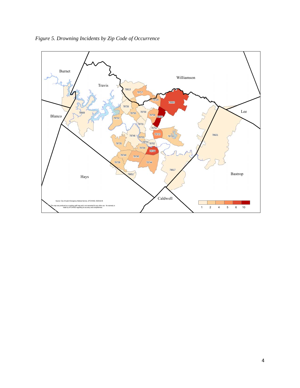

*Figure 5. Drowning Incidents by Zip Code of Occurrence*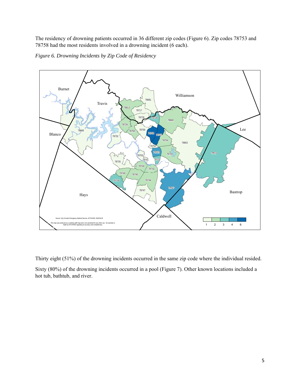The residency of drowning patients occurred in 36 different zip codes (Figure 6). Zip codes 78753 and 78758 had the most residents involved in a drowning incident (6 each).



*Figure 6. Drowning Incidents by Zip Code of Residency* 

Thirty eight (51%) of the drowning incidents occurred in the same zip code where the individual resided. Sixty (80%) of the drowning incidents occurred in a pool (Figure 7). Other known locations included a hot tub, bathtub, and river.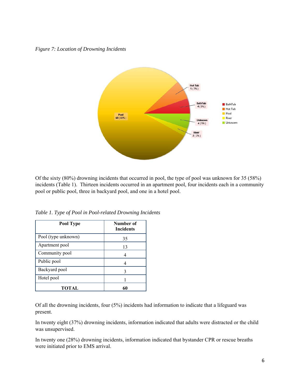*Figure 7: Location of Drowning Incidents* 



Of the sixty (80%) drowning incidents that occurred in pool, the type of pool was unknown for 35 (58%) incidents (Table 1). Thirteen incidents occurred in an apartment pool, four incidents each in a community pool or public pool, three in backyard pool, and one in a hotel pool.

| Pool Type           | Number of<br><b>Incidents</b> |
|---------------------|-------------------------------|
| Pool (type unknown) | 35                            |
| Apartment pool      | 13                            |
| Community pool      |                               |
| Public pool         |                               |
| Backyard pool       | 3                             |
| Hotel pool          |                               |
| TOTAL               |                               |

*Table 1. Type of Pool in Pool-related Drowning Incidents* 

Of all the drowning incidents, four (5%) incidents had information to indicate that a lifeguard was present.

In twenty eight (37%) drowning incidents, information indicated that adults were distracted or the child was unsupervised.

In twenty one (28%) drowning incidents, information indicated that bystander CPR or rescue breaths were initiated prior to EMS arrival.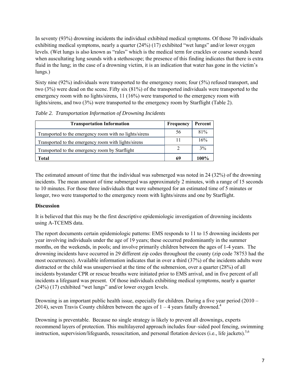In seventy (93%) drowning incidents the individual exhibited medical symptoms. Of those 70 individuals exhibiting medical symptoms, nearly a quarter (24%) (17) exhibited "wet lungs" and/or lower oxygen levels. (Wet lungs is also known as "rales" which is the medical term for crackles or coarse sounds heard when auscultating lung sounds with a stethoscope; the presence of this finding indicates that there is extra fluid in the lung; in the case of a drowning victim, it is an indication that water has gone in the victim's lungs.)

Sixty nine (92%) individuals were transported to the emergency room; four (5%) refused transport, and two (3%) were dead on the scene. Fifty six (81%) of the transported individuals were transported to the emergency room with no lights/sirens, 11 (16%) were transported to the emergency room with lights/sirens, and two (3%) were transported to the emergency room by Starflight (Table 2).

| <b>Transportation Information</b>                       | Frequency | Percent |
|---------------------------------------------------------|-----------|---------|
| Transported to the emergency room with no lights/sirens | 56        | 81%     |
| Transported to the emergency room with lights/sirens    | 11        | 16%     |
| Transported to the emergency room by Starflight         | 2         | 3%      |
| <b>Total</b>                                            | 69        | 100%    |

*Table 2. Transportation Information of Drowning Incidents* 

The estimated amount of time that the individual was submerged was noted in 24 (32%) of the drowning incidents. The mean amount of time submerged was approximately 2 minutes, with a range of 15 seconds to 10 minutes. For those three individuals that were submerged for an estimated time of 5 minutes or longer, two were transported to the emergency room with lights/sirens and one by Starflight.

## **Discussion**

It is believed that this may be the first descriptive epidemiologic investigation of drowning incidents using A-TCEMS data.

The report documents certain epidemiologic patterns: EMS responds to 11 to 15 drowning incidents per year involving individuals under the age of 19 years; these occurred predominantly in the summer months, on the weekends, in pools; and involve primarily children between the ages of 1-4 years. The drowning incidents have occurred in 29 different zip codes throughout the county (zip code 78753 had the most occurrences). Available information indicates that in over a third (37%) of the incidents adults were distracted or the child was unsupervised at the time of the submersion, over a quarter (28%) of all incidents bystander CPR or rescue breaths were initiated prior to EMS arrival, and in five percent of all incidents a lifeguard was present. Of those individuals exhibiting medical symptoms, nearly a quarter (24%) (17) exhibited "wet lungs" and/or lower oxygen levels.

Drowning is an important public health issue, especially for children. During a five year period (2010 – 2014), seven Travis County children between the ages of  $1 - 4$  years fatally drowned.<sup>4</sup>

Drowning is preventable. Because no single strategy is likely to prevent all drownings, experts recommend layers of protection. This multilayered approach includes four–sided pool fencing, swimming instruction, supervision/lifeguards, resuscitation, and personal flotation devices (i.e., life jackets).<sup>5,6</sup>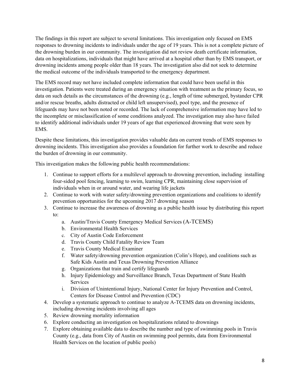The findings in this report are subject to several limitations. This investigation only focused on EMS responses to drowning incidents to individuals under the age of 19 years. This is not a complete picture of the drowning burden in our community. The investigation did not review death certificate information, data on hospitalizations, individuals that might have arrived at a hospital other than by EMS transport, or drowning incidents among people older than 18 years. The investigation also did not seek to determine the medical outcome of the individuals transported to the emergency department.

The EMS record may not have included complete information that could have been useful in this investigation. Patients were treated during an emergency situation with treatment as the primary focus, so data on such details as the circumstances of the drowning (e.g., length of time submerged, bystander CPR and/or rescue breaths, adults distracted or child left unsupervised), pool type, and the presence of lifeguards may have not been noted or recorded. The lack of comprehensive information may have led to the incomplete or misclassification of some conditions analyzed. The investigation may also have failed to identify additional individuals under 19 years of age that experienced drowning that were seen by EMS.

Despite these limitations, this investigation provides valuable data on current trends of EMS responses to drowning incidents. This investigation also provides a foundation for further work to describe and reduce the burden of drowning in our community.

This investigation makes the following public health recommendations:

- 1. Continue to support efforts for a multilevel approach to drowning prevention, including installing four-sided pool fencing, learning to swim, learning CPR, maintaining close supervision of individuals when in or around water, and wearing life jackets
- 2. Continue to work with water safety/drowning prevention organizations and coalitions to identify prevention opportunities for the upcoming 2017 drowning season
- 3. Continue to increase the awareness of drowning as a public health issue by distributing this report to:
	- a. Austin/Travis County Emergency Medical Services (A-TCEMS)
	- b. Environmental Health Services
	- c. City of Austin Code Enforcement
	- d. Travis County Child Fatality Review Team
	- e. Travis County Medical Examiner
	- f. Water safety/drowning prevention organization (Colin's Hope), and coalitions such as Safe Kids Austin and Texas Drowning Prevention Alliance
	- g. Organizations that train and certify lifeguards
	- h. Injury Epidemiology and Surveillance Branch, Texas Department of State Health Services
	- i. Division of Unintentional Injury, National Center for Injury Prevention and Control, Centers for Disease Control and Prevention (CDC)
- 4. Develop a systematic approach to continue to analyze A-TCEMS data on drowning incidents, including drowning incidents involving all ages
- 5. Review drowning mortality information
- 6. Explore conducting an investigation on hospitalizations related to drownings
- 7. Explore obtaining available data to describe the number and type of swimming pools in Travis County (e.g., data from City of Austin on swimming pool permits, data from Environmental Health Services on the location of public pools)